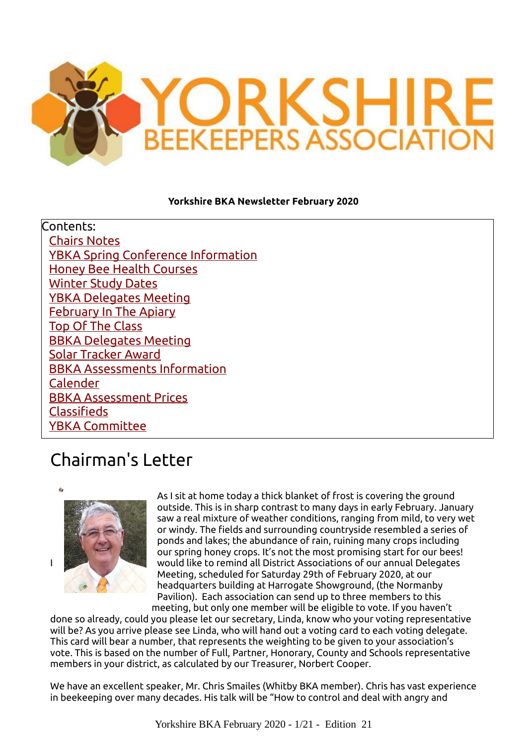

#### **Yorkshire BKA Newsletter February 2020**

Contents: [Chairs Notes](#page-0-0) [YBKA Spring Conference Information](#page-1-0) [Honey Bee Health Courses](#page-4-0) [Winter Study Dates](#page-5-0) [YBKA Delegates Meeting](#page-6-0) [February In The Apiary](#page-7-0) [Top Of The Class](#page-8-0) [BBKA Delegates Meeting](#page-9-0) [Solar Tracker Award](#page-11-0) [BBKA Assessments Information](#page-13-0) [Calender](#page-14-0) [BBKA Assessment Prices](#page-15-0) [Classifieds](#page-16-0) [YBKA Committee](#page-17-0)

## <span id="page-0-0"></span>Chairman's Letter



As I sit at home today a thick blanket of frost is covering the ground outside. This is in sharp contrast to many days in early February. January saw a real mixture of weather conditions, ranging from mild, to very wet or windy. The fields and surrounding countryside resembled a series of ponds and lakes; the abundance of rain, ruining many crops including our spring honey crops. It's not the most promising start for our bees! I would like to remind all District Associations of our annual Delegates Meeting, scheduled for Saturday 29th of February 2020, at our headquarters building at Harrogate Showground, (the Normanby Pavilion). Each association can send up to three members to this meeting, but only one member will be eligible to vote. If you haven't

done so already, could you please let our secretary, Linda, know who your voting representative will be? As you arrive please see Linda, who will hand out a voting card to each voting delegate. This card will bear a number, that represents the weighting to be given to your association's vote. This is based on the number of Full, Partner, Honorary, County and Schools representative members in your district, as calculated by our Treasurer, Norbert Cooper.

We have an excellent speaker, Mr. Chris Smailes (Whitby BKA member). Chris has vast experience in beekeeping over many decades. His talk will be "How to control and deal with angry and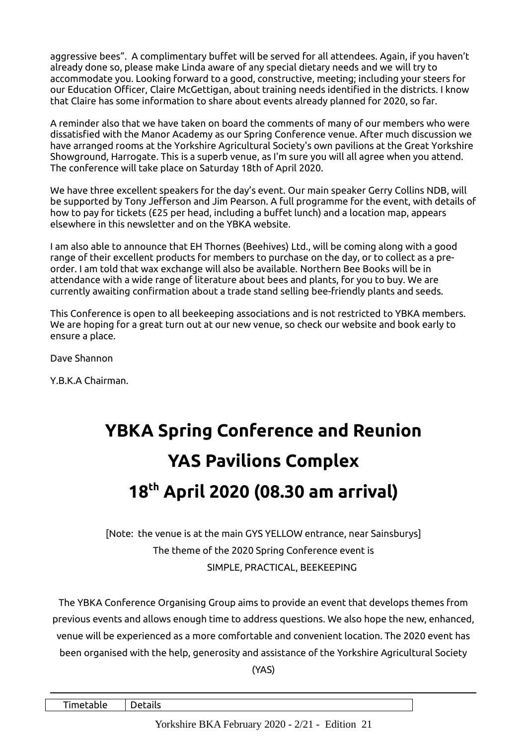aggressive bees". A complimentary buffet will be served for all attendees. Again, if you haven't already done so, please make Linda aware of any special dietary needs and we will try to accommodate you. Looking forward to a good, constructive, meeting; including your steers for our Education Officer, Claire McGettigan, about training needs identified in the districts. I know that Claire has some information to share about events already planned for 2020, so far.

A reminder also that we have taken on board the comments of many of our members who were dissatisfied with the Manor Academy as our Spring Conference venue. After much discussion we have arranged rooms at the Yorkshire Agricultural Society's own pavilions at the Great Yorkshire Showground, Harrogate. This is a superb venue, as I'm sure you will all agree when you attend. The conference will take place on Saturday 18th of April 2020.

We have three excellent speakers for the day's event. Our main speaker Gerry Collins NDB, will be supported by Tony Jefferson and Jim Pearson. A full programme for the event, with details of how to pay for tickets (£25 per head, including a buffet lunch) and a location map, appears elsewhere in this newsletter and on the YBKA website.

I am also able to announce that EH Thornes (Beehives) Ltd., will be coming along with a good range of their excellent products for members to purchase on the day, or to collect as a preorder. I am told that wax exchange will also be available. Northern Bee Books will be in attendance with a wide range of literature about bees and plants, for you to buy. We are currently awaiting confirmation about a trade stand selling bee-friendly plants and seeds.

This Conference is open to all beekeeping associations and is not restricted to YBKA members. We are hoping for a great turn out at our new venue, so check our website and book early to ensure a place.

Dave Shannon

Y.B.K.A Chairman.

## <span id="page-1-0"></span>**YBKA Spring Conference and Reunion YAS Pavilions Complex 18th April 2020 (08.30 am arrival)**

[Note: the venue is at the main GYS YELLOW entrance, near Sainsburys] The theme of the 2020 Spring Conference event is SIMPLE, PRACTICAL, BEEKEEPING

The YBKA Conference Organising Group aims to provide an event that develops themes from previous events and allows enough time to address questions. We also hope the new, enhanced, venue will be experienced as a more comfortable and convenient location. The 2020 event has been organised with the help, generosity and assistance of the Yorkshire Agricultural Society

(YAS)

Timetable Details

Yorkshire BKA February 2020 - 2/21 - Edition 21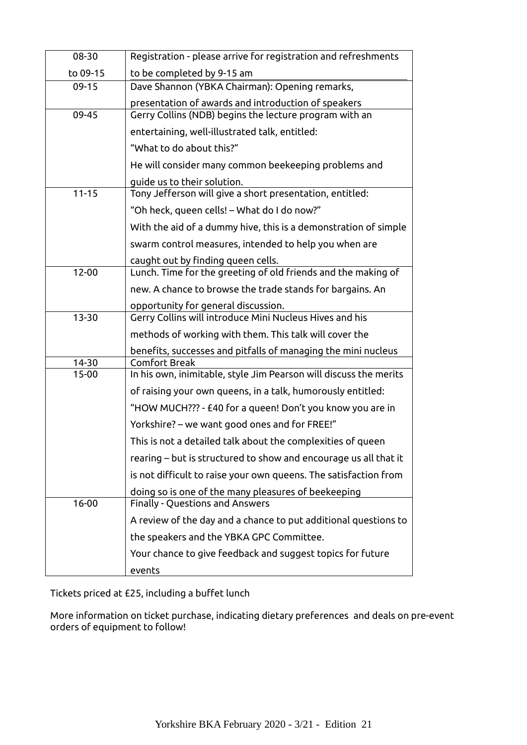| 08-30     | Registration - please arrive for registration and refreshments    |  |  |  |  |
|-----------|-------------------------------------------------------------------|--|--|--|--|
| to 09-15  | to be completed by 9-15 am                                        |  |  |  |  |
| $09-15$   | Dave Shannon (YBKA Chairman): Opening remarks,                    |  |  |  |  |
|           | presentation of awards and introduction of speakers               |  |  |  |  |
| $09 - 45$ | Gerry Collins (NDB) begins the lecture program with an            |  |  |  |  |
|           | entertaining, well-illustrated talk, entitled:                    |  |  |  |  |
|           | "What to do about this?"                                          |  |  |  |  |
|           | He will consider many common beekeeping problems and              |  |  |  |  |
|           | guide us to their solution.                                       |  |  |  |  |
| $11 - 15$ | Tony Jefferson will give a short presentation, entitled:          |  |  |  |  |
|           | "Oh heck, queen cells! – What do I do now?"                       |  |  |  |  |
|           | With the aid of a dummy hive, this is a demonstration of simple   |  |  |  |  |
|           | swarm control measures, intended to help you when are             |  |  |  |  |
|           | caught out by finding queen cells.                                |  |  |  |  |
| $12 - 00$ | Lunch. Time for the greeting of old friends and the making of     |  |  |  |  |
|           | new. A chance to browse the trade stands for bargains. An         |  |  |  |  |
|           | opportunity for general discussion.                               |  |  |  |  |
| $13 - 30$ | Gerry Collins will introduce Mini Nucleus Hives and his           |  |  |  |  |
|           | methods of working with them. This talk will cover the            |  |  |  |  |
|           | benefits, successes and pitfalls of managing the mini nucleus     |  |  |  |  |
| 14-30     | <b>Comfort Break</b>                                              |  |  |  |  |
| $15-00$   | In his own, inimitable, style Jim Pearson will discuss the merits |  |  |  |  |
|           | of raising your own queens, in a talk, humorously entitled:       |  |  |  |  |
|           | "HOW MUCH??? - £40 for a queen! Don't you know you are in         |  |  |  |  |
|           | Yorkshire? – we want good ones and for FREE!"                     |  |  |  |  |
|           | This is not a detailed talk about the complexities of queen       |  |  |  |  |
|           | rearing – but is structured to show and encourage us all that it  |  |  |  |  |
|           | is not difficult to raise your own queens. The satisfaction from  |  |  |  |  |
|           | doing so is one of the many pleasures of beekeeping               |  |  |  |  |
| $16 - 00$ | <b>Finally - Questions and Answers</b>                            |  |  |  |  |
|           | A review of the day and a chance to put additional questions to   |  |  |  |  |
|           | the speakers and the YBKA GPC Committee.                          |  |  |  |  |
|           | Your chance to give feedback and suggest topics for future        |  |  |  |  |
|           | events                                                            |  |  |  |  |

Tickets priced at £25, including a buffet lunch

More information on ticket purchase, indicating dietary preferences and deals on pre-event orders of equipment to follow!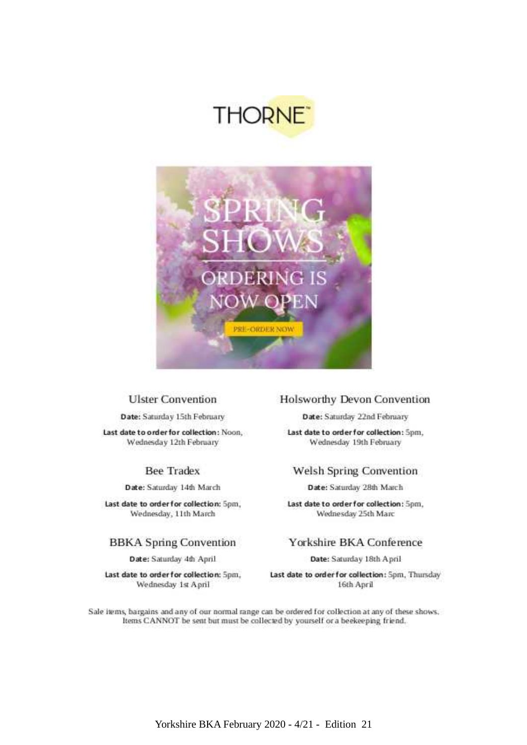



#### **Ulster Convention**

Date: Saturday 15th February

Last date to order for collection: Noon, Wednesday 12th February

#### **Bee Tradex**

Date: Saturday 14th March

Last date to order for collection: 5pm, Wednesday, 11th March

#### **BBKA** Spring Convention

Date: Saturday 4th April

Last date to order for collection: 5pm, Wednesday 1st April

#### **Holsworthy Devon Convention**

Date: Saturday 22nd February

Last date to order for collection: 5pm. Wednesday 19th February

#### Welsh Spring Convention

Date: Saturday 28th March

Last date to order for collection: 5pm, Wednesday 25th Marc

#### Yorkshire BKA Conference

Date: Saturday 18th April

Last date to order for collection: Spm, Thursday 16th April

Sale items, bargains and any of our normal range can be ordered for collection at any of these shows. Items CANNOT be sent but must be collected by yourself or a beekeeping friend.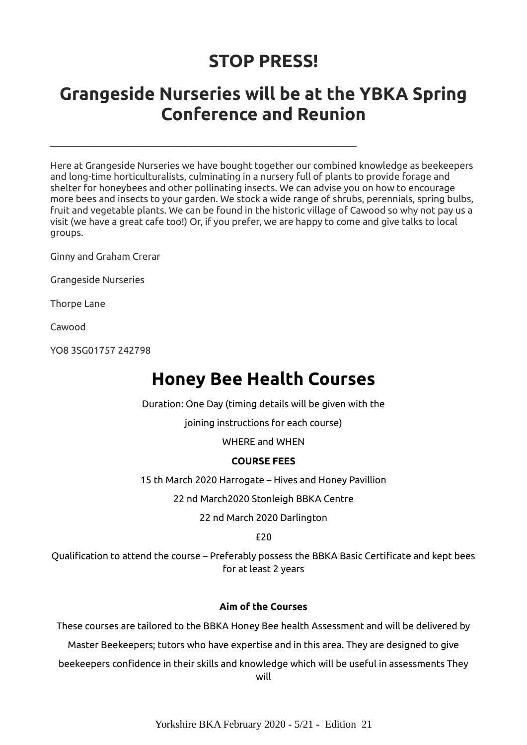## **STOP PRESS!**

## **Grangeside Nurseries will be at the YBKA Spring Conference and Reunion**

\_\_\_\_\_\_\_\_\_\_\_\_\_\_\_\_\_\_\_\_\_\_\_\_\_\_\_\_\_\_\_\_\_\_\_\_\_\_\_\_\_\_\_\_\_\_\_\_\_\_\_\_\_\_\_\_\_\_\_\_\_\_\_\_

Here at Grangeside Nurseries we have bought together our combined knowledge as beekeepers and long-time horticulturalists, culminating in a nursery full of plants to provide forage and shelter for honeybees and other pollinating insects. We can advise you on how to encourage more bees and insects to your garden. We stock a wide range of shrubs, perennials, spring bulbs, fruit and vegetable plants. We can be found in the historic village of Cawood so why not pay us a visit (we have a great cafe too!) Or, if you prefer, we are happy to come and give talks to local groups.

Ginny and Graham Crerar

Grangeside Nurseries

Thorpe Lane

Cawood

YO8 3SG01757 242798

## **Honey Bee Health Courses**

Duration: One Day (timing details will be given with the

joining instructions for each course)

WHERE and WHEN

#### **COURSE FEES**

<span id="page-4-0"></span>15 th March 2020 Harrogate – Hives and Honey Pavillion

22 nd March2020 Stonleigh BBKA Centre

22 nd March 2020 Darlington

£20

Qualification to attend the course – Preferably possess the BBKA Basic Certificate and kept bees for at least 2 years

#### **Aim of the Courses**

These courses are tailored to the BBKA Honey Bee health Assessment and will be delivered by

Master Beekeepers; tutors who have expertise and in this area. They are designed to give

beekeepers confidence in their skills and knowledge which will be useful in assessments They will

Yorkshire BKA February 2020 - 5/21 - Edition 21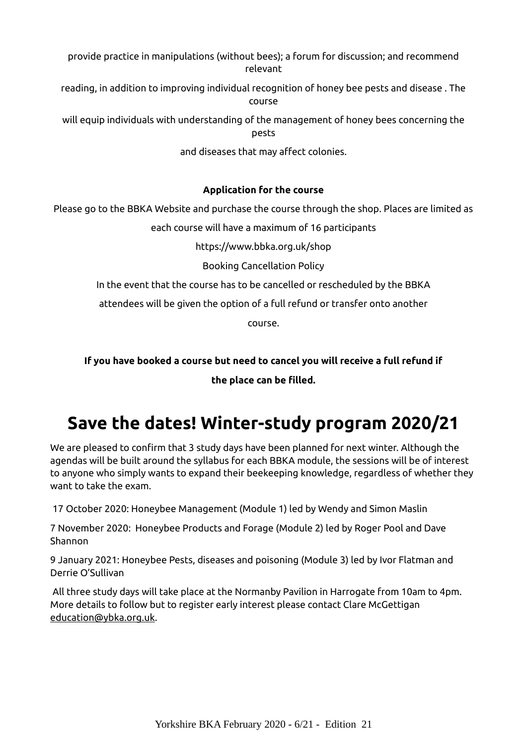provide practice in manipulations (without bees); a forum for discussion; and recommend relevant

reading, in addition to improving individual recognition of honey bee pests and disease . The course

will equip individuals with understanding of the management of honey bees concerning the pests

and diseases that may affect colonies.

#### **Application for the course**

Please go to the BBKA Website and purchase the course through the shop. Places are limited as

each course will have a maximum of 16 participants

https://www.bbka.org.uk/shop

Booking Cancellation Policy

In the event that the course has to be cancelled or rescheduled by the BBKA

attendees will be given the option of a full refund or transfer onto another

course.

**If you have booked a course but need to cancel you will receive a full refund if the place can be filled.**

## **Save the dates! Winter-study program 2020/21**

<span id="page-5-0"></span>We are pleased to confirm that 3 study days have been planned for next winter. Although the agendas will be built around the syllabus for each BBKA module, the sessions will be of interest to anyone who simply wants to expand their beekeeping knowledge, regardless of whether they want to take the exam.

17 October 2020: Honeybee Management (Module 1) led by Wendy and Simon Maslin

7 November 2020: Honeybee Products and Forage (Module 2) led by Roger Pool and Dave Shannon

9 January 2021: Honeybee Pests, diseases and poisoning (Module 3) led by Ivor Flatman and Derrie O'Sullivan

All three study days will take place at the Normanby Pavilion in Harrogate from 10am to 4pm. More details to follow but to register early interest please contact Clare McGettigan  [education@ybka.org.uk .](mailto:education@ybka.org.uk)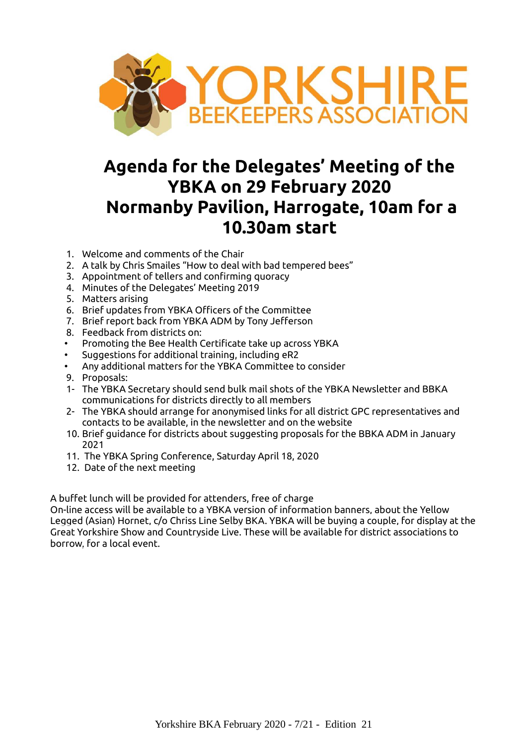

## <span id="page-6-0"></span>**Agenda for the Delegates' Meeting of the YBKA on 29 February 2020 Normanby Pavilion, Harrogate, 10am for a 10.30am start**

- 1. Welcome and comments of the Chair
- 2. A talk by Chris Smailes "How to deal with bad tempered bees"
- 3. Appointment of tellers and confirming quoracy
- 4. Minutes of the Delegates' Meeting 2019
- 5. Matters arising
- 6. Brief updates from YBKA Officers of the Committee
- 7. Brief report back from YBKA ADM by Tony Jefferson
- 8. Feedback from districts on:
- Promoting the Bee Health Certificate take up across YBKA
- Suggestions for additional training, including eR2
- Any additional matters for the YBKA Committee to consider
- 9. Proposals:
- 1- The YBKA Secretary should send bulk mail shots of the YBKA Newsletter and BBKA communications for districts directly to all members
- 2- The YBKA should arrange for anonymised links for all district GPC representatives and contacts to be available, in the newsletter and on the website
- 10. Brief guidance for districts about suggesting proposals for the BBKA ADM in January 2021
- 11. The YBKA Spring Conference, Saturday April 18, 2020
- 12. Date of the next meeting

A buffet lunch will be provided for attenders, free of charge

On-line access will be available to a YBKA version of information banners, about the Yellow Legged (Asian) Hornet, c/o Chriss Line Selby BKA. YBKA will be buying a couple, for display at the Great Yorkshire Show and Countryside Live. These will be available for district associations to borrow, for a local event.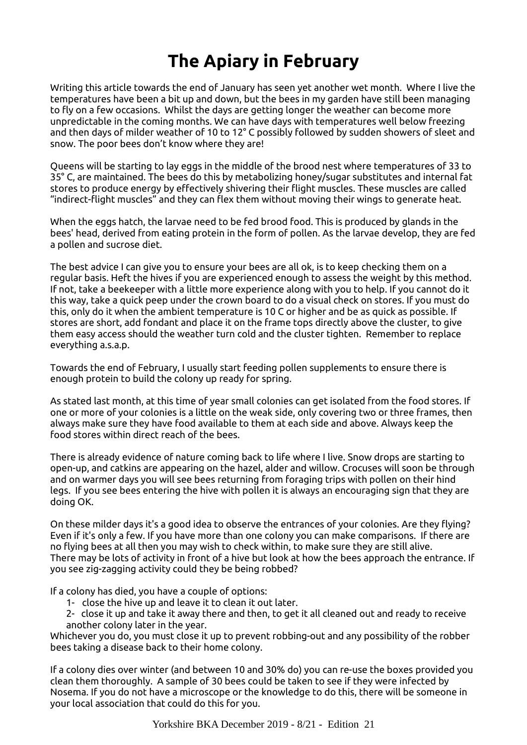## <span id="page-7-0"></span>**The Apiary in February**

Writing this article towards the end of January has seen yet another wet month. Where I live the temperatures have been a bit up and down, but the bees in my garden have still been managing to fly on a few occasions. Whilst the days are getting longer the weather can become more unpredictable in the coming months. We can have days with temperatures well below freezing and then days of milder weather of 10 to 12° C possibly followed by sudden showers of sleet and snow. The poor bees don't know where they are!

Queens will be starting to lay eggs in the middle of the brood nest where temperatures of 33 to 35° C, are maintained. The bees do this by metabolizing honey/sugar substitutes and internal fat stores to produce energy by effectively shivering their flight muscles. These muscles are called "indirect-flight muscles" and they can flex them without moving their wings to generate heat.

When the eggs hatch, the larvae need to be fed brood food. This is produced by glands in the bees' head, derived from eating protein in the form of pollen. As the larvae develop, they are fed a pollen and sucrose diet.

The best advice I can give you to ensure your bees are all ok, is to keep checking them on a regular basis. Heft the hives if you are experienced enough to assess the weight by this method. If not, take a beekeeper with a little more experience along with you to help. If you cannot do it this way, take a quick peep under the crown board to do a visual check on stores. If you must do this, only do it when the ambient temperature is 10 C or higher and be as quick as possible. If stores are short, add fondant and place it on the frame tops directly above the cluster, to give them easy access should the weather turn cold and the cluster tighten. Remember to replace everything a.s.a.p.

Towards the end of February, I usually start feeding pollen supplements to ensure there is enough protein to build the colony up ready for spring.

As stated last month, at this time of year small colonies can get isolated from the food stores. If one or more of your colonies is a little on the weak side, only covering two or three frames, then always make sure they have food available to them at each side and above. Always keep the food stores within direct reach of the bees.

There is already evidence of nature coming back to life where I live. Snow drops are starting to open-up, and catkins are appearing on the hazel, alder and willow. Crocuses will soon be through and on warmer days you will see bees returning from foraging trips with pollen on their hind legs. If you see bees entering the hive with pollen it is always an encouraging sign that they are doing OK.

On these milder days it's a good idea to observe the entrances of your colonies. Are they flying? Even if it's only a few. If you have more than one colony you can make comparisons. If there are no flying bees at all then you may wish to check within, to make sure they are still alive. There may be lots of activity in front of a hive but look at how the bees approach the entrance. If you see zig-zagging activity could they be being robbed?

If a colony has died, you have a couple of options:

- 1- close the hive up and leave it to clean it out later.
- 2- close it up and take it away there and then, to get it all cleaned out and ready to receive another colony later in the year.

Whichever you do, you must close it up to prevent robbing-out and any possibility of the robber bees taking a disease back to their home colony.

If a colony dies over winter (and between 10 and 30% do) you can re-use the boxes provided you clean them thoroughly. A sample of 30 bees could be taken to see if they were infected by Nosema. If you do not have a microscope or the knowledge to do this, there will be someone in your local association that could do this for you.

Yorkshire BKA December 2019 - 8/21 - Edition 21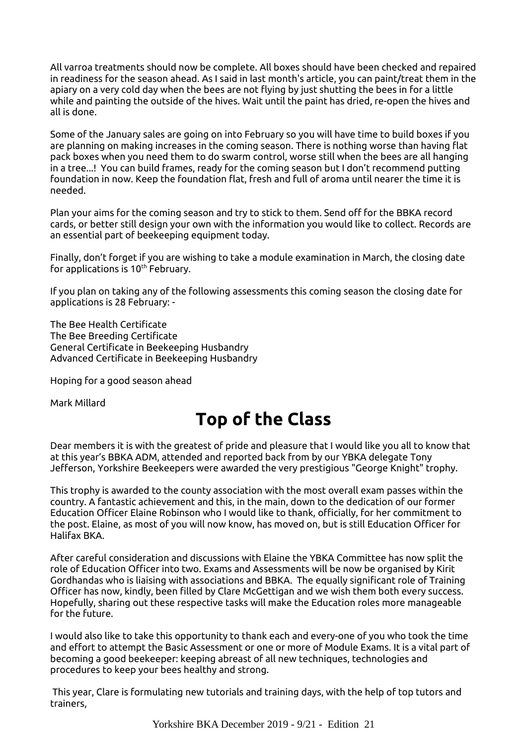All varroa treatments should now be complete. All boxes should have been checked and repaired in readiness for the season ahead. As I said in last month's article, you can paint/treat them in the apiary on a very cold day when the bees are not flying by just shutting the bees in for a little while and painting the outside of the hives. Wait until the paint has dried, re-open the hives and all is done.

Some of the January sales are going on into February so you will have time to build boxes if you are planning on making increases in the coming season. There is nothing worse than having flat pack boxes when you need them to do swarm control, worse still when the bees are all hanging in a tree...! You can build frames, ready for the coming season but I don't recommend putting foundation in now. Keep the foundation flat, fresh and full of aroma until nearer the time it is needed.

Plan your aims for the coming season and try to stick to them. Send off for the BBKA record cards, or better still design your own with the information you would like to collect. Records are an essential part of beekeeping equipment today.

Finally, don't forget if you are wishing to take a module examination in March, the closing date for applications is  $10<sup>th</sup>$  February.

If you plan on taking any of the following assessments this coming season the closing date for applications is 28 February: -

The Bee Health Certificate The Bee Breeding Certificate General Certificate in Beekeeping Husbandry Advanced Certificate in Beekeeping Husbandry

Hoping for a good season ahead

Mark Millard

## **Top of the Class**

Dear members it is with the greatest of pride and pleasure that I would like you all to know that at this year's BBKA ADM, attended and reported back from by our YBKA delegate Tony Jefferson, Yorkshire Beekeepers were awarded the very prestigious "George Knight" trophy.

<span id="page-8-0"></span>This trophy is awarded to the county association with the most overall exam passes within the country. A fantastic achievement and this, in the main, down to the dedication of our former Education Officer Elaine Robinson who I would like to thank, officially, for her commitment to the post. Elaine, as most of you will now know, has moved on, but is still Education Officer for Halifax BKA.

After careful consideration and discussions with Elaine the YBKA Committee has now split the role of Education Officer into two. Exams and Assessments will be now be organised by Kirit Gordhandas who is liaising with associations and BBKA. The equally significant role of Training Officer has now, kindly, been filled by Clare McGettigan and we wish them both every success. Hopefully, sharing out these respective tasks will make the Education roles more manageable for the future.

I would also like to take this opportunity to thank each and every-one of you who took the time and effort to attempt the Basic Assessment or one or more of Module Exams. It is a vital part of becoming a good beekeeper: keeping abreast of all new techniques, technologies and procedures to keep your bees healthy and strong.

 This year, Clare is formulating new tutorials and training days, with the help of top tutors and trainers,

Yorkshire BKA December 2019 - 9/21 - Edition 21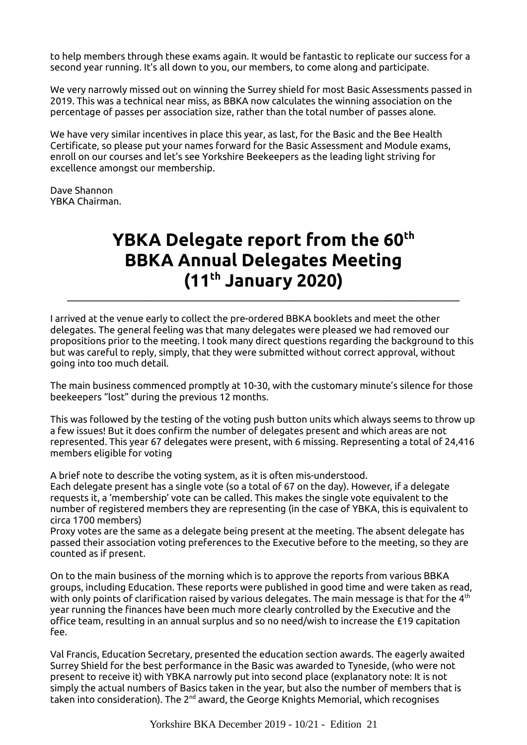to help members through these exams again. It would be fantastic to replicate our success for a second year running. It's all down to you, our members, to come along and participate.

We very narrowly missed out on winning the Surrey shield for most Basic Assessments passed in 2019. This was a technical near miss, as BBKA now calculates the winning association on the percentage of passes per association size, rather than the total number of passes alone.

We have very similar incentives in place this year, as last, for the Basic and the Bee Health Certificate, so please put your names forward for the Basic Assessment and Module exams, enroll on our courses and let's see Yorkshire Beekeepers as the leading light striving for excellence amongst our membership.

Dave Shannon YBKA Chairman.

## <span id="page-9-0"></span>**YBKA Delegate report from the 60th BBKA Annual Delegates Meeting (11th January 2020)**

I arrived at the venue early to collect the pre-ordered BBKA booklets and meet the other delegates. The general feeling was that many delegates were pleased we had removed our propositions prior to the meeting. I took many direct questions regarding the background to this but was careful to reply, simply, that they were submitted without correct approval, without going into too much detail.

\_\_\_\_\_\_\_\_\_\_\_\_\_\_\_\_\_\_\_\_\_\_\_\_\_\_\_\_\_\_\_\_\_\_\_\_\_\_\_\_\_\_\_\_\_\_\_\_\_\_\_\_\_\_\_\_\_\_\_\_\_\_\_\_\_\_\_\_\_\_\_\_\_\_\_\_\_\_\_\_\_\_

The main business commenced promptly at 10-30, with the customary minute's silence for those beekeepers "lost" during the previous 12 months.

This was followed by the testing of the voting push button units which always seems to throw up a few issues! But it does confirm the number of delegates present and which areas are not represented. This year 67 delegates were present, with 6 missing. Representing a total of 24,416 members eligible for voting

A brief note to describe the voting system, as it is often mis-understood.

Each delegate present has a single vote (so a total of 67 on the day). However, if a delegate requests it, a 'membership' vote can be called. This makes the single vote equivalent to the number of registered members they are representing (in the case of YBKA, this is equivalent to circa 1700 members)

Proxy votes are the same as a delegate being present at the meeting. The absent delegate has passed their association voting preferences to the Executive before to the meeting, so they are counted as if present.

On to the main business of the morning which is to approve the reports from various BBKA groups, including Education. These reports were published in good time and were taken as read, with only points of clarification raised by various delegates. The main message is that for the  $4<sup>th</sup>$ year running the finances have been much more clearly controlled by the Executive and the office team, resulting in an annual surplus and so no need/wish to increase the £19 capitation fee.

Val Francis, Education Secretary, presented the education section awards. The eagerly awaited Surrey Shield for the best performance in the Basic was awarded to Tyneside, (who were not present to receive it) with YBKA narrowly put into second place (explanatory note: It is not simply the actual numbers of Basics taken in the year, but also the number of members that is taken into consideration). The  $2^{nd}$  award, the George Knights Memorial, which recognises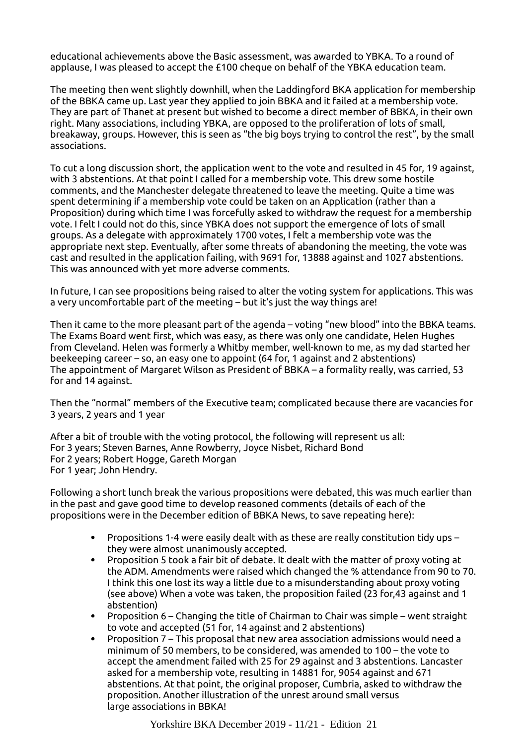educational achievements above the Basic assessment, was awarded to YBKA. To a round of applause, I was pleased to accept the £100 cheque on behalf of the YBKA education team.

The meeting then went slightly downhill, when the Laddingford BKA application for membership of the BBKA came up. Last year they applied to join BBKA and it failed at a membership vote. They are part of Thanet at present but wished to become a direct member of BBKA, in their own right. Many associations, including YBKA, are opposed to the proliferation of lots of small, breakaway, groups. However, this is seen as "the big boys trying to control the rest", by the small associations.

To cut a long discussion short, the application went to the vote and resulted in 45 for, 19 against, with 3 abstentions. At that point I called for a membership vote. This drew some hostile comments, and the Manchester delegate threatened to leave the meeting. Quite a time was spent determining if a membership vote could be taken on an Application (rather than a Proposition) during which time I was forcefully asked to withdraw the request for a membership vote. I felt I could not do this, since YBKA does not support the emergence of lots of small groups. As a delegate with approximately 1700 votes, I felt a membership vote was the appropriate next step. Eventually, after some threats of abandoning the meeting, the vote was cast and resulted in the application failing, with 9691 for, 13888 against and 1027 abstentions. This was announced with yet more adverse comments.

In future, I can see propositions being raised to alter the voting system for applications. This was a very uncomfortable part of the meeting – but it's just the way things are!

Then it came to the more pleasant part of the agenda – voting "new blood" into the BBKA teams. The Exams Board went first, which was easy, as there was only one candidate, Helen Hughes from Cleveland. Helen was formerly a Whitby member, well-known to me, as my dad started her beekeeping career – so, an easy one to appoint (64 for, 1 against and 2 abstentions) The appointment of Margaret Wilson as President of BBKA – a formality really, was carried, 53 for and 14 against.

Then the "normal" members of the Executive team; complicated because there are vacancies for 3 years, 2 years and 1 year

After a bit of trouble with the voting protocol, the following will represent us all: For 3 years; Steven Barnes, Anne Rowberry, Joyce Nisbet, Richard Bond For 2 years; Robert Hogge, Gareth Morgan For 1 year; John Hendry.

Following a short lunch break the various propositions were debated, this was much earlier than in the past and gave good time to develop reasoned comments (details of each of the propositions were in the December edition of BBKA News, to save repeating here):

- Propositions 1-4 were easily dealt with as these are really constitution tidy ups they were almost unanimously accepted.
- Proposition 5 took a fair bit of debate. It dealt with the matter of proxy voting at the ADM. Amendments were raised which changed the % attendance from 90 to 70. I think this one lost its way a little due to a misunderstanding about proxy voting (see above) When a vote was taken, the proposition failed (23 for,43 against and 1 abstention)
- **•** Proposition  $6 -$  Changing the title of Chairman to Chair was simple went straight to vote and accepted (51 for, 14 against and 2 abstentions)
- Proposition 7 This proposal that new area association admissions would need a minimum of 50 members, to be considered, was amended to 100 – the vote to accept the amendment failed with 25 for 29 against and 3 abstentions. Lancaster asked for a membership vote, resulting in 14881 for, 9054 against and 671 abstentions. At that point, the original proposer, Cumbria, asked to withdraw the proposition. Another illustration of the unrest around small versus large associations in BBKA!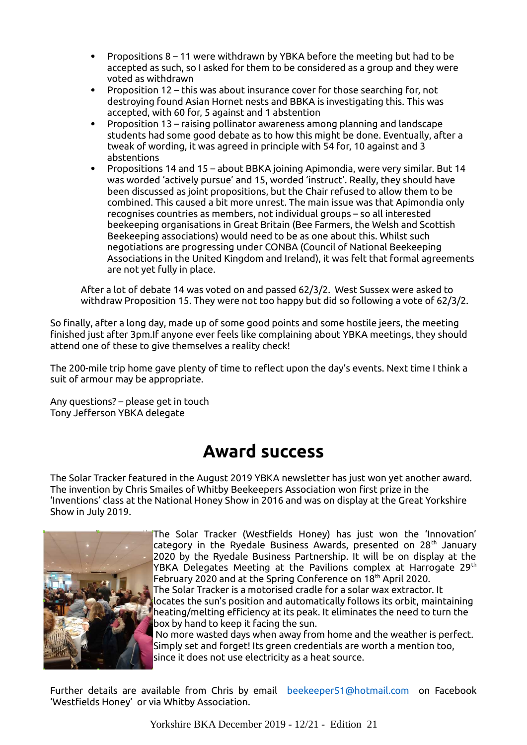- Propositions 8 11 were withdrawn by YBKA before the meeting but had to be accepted as such, so I asked for them to be considered as a group and they were voted as withdrawn
- Proposition 12 this was about insurance cover for those searching for, not destroying found Asian Hornet nests and BBKA is investigating this. This was accepted, with 60 for, 5 against and 1 abstention
- Proposition 13 raising pollinator awareness among planning and landscape students had some good debate as to how this might be done. Eventually, after a tweak of wording, it was agreed in principle with 54 for, 10 against and 3 abstentions
- Propositions 14 and 15 about BBKA joining Apimondia, were very similar. But 14 was worded 'actively pursue' and 15, worded 'instruct'. Really, they should have been discussed as joint propositions, but the Chair refused to allow them to be combined. This caused a bit more unrest. The main issue was that Apimondia only recognises countries as members, not individual groups – so all interested beekeeping organisations in Great Britain (Bee Farmers, the Welsh and Scottish Beekeeping associations) would need to be as one about this. Whilst such negotiations are progressing under CONBA (Council of National Beekeeping Associations in the United Kingdom and Ireland), it was felt that formal agreements are not yet fully in place.

After a lot of debate 14 was voted on and passed 62/3/2. West Sussex were asked to withdraw Proposition 15. They were not too happy but did so following a vote of 62/3/2.

So finally, after a long day, made up of some good points and some hostile jeers, the meeting finished just after 3pm.If anyone ever feels like complaining about YBKA meetings, they should attend one of these to give themselves a reality check!

The 200-mile trip home gave plenty of time to reflect upon the day's events. Next time I think a suit of armour may be appropriate.

Any questions? – please get in touch Tony Jefferson YBKA delegate

## **Award success**

<span id="page-11-0"></span>The Solar Tracker featured in the August 2019 YBKA newsletter has just won yet another award. The invention by Chris Smailes of Whitby Beekeepers Association won first prize in the 'Inventions' class at the National Honey Show in 2016 and was on display at the Great Yorkshire Show in July 2019.



The Solar Tracker (Westfields Honey) has just won the 'Innovation' category in the Ryedale Business Awards, presented on 28<sup>th</sup> January 2020 by the Ryedale Business Partnership. It will be on display at the YBKA Delegates Meeting at the Pavilions complex at Harrogate 29<sup>th</sup> February 2020 and at the Spring Conference on 18<sup>th</sup> April 2020. The Solar Tracker is a motorised cradle for a solar wax extractor. It locates the sun's position and automatically follows its orbit, maintaining heating/melting efficiency at its peak. It eliminates the need to turn the box by hand to keep it facing the sun. No more wasted days when away from home and the weather is perfect.

Simply set and forget! Its green credentials are worth a mention too, since it does not use electricity as a heat source.

Further details are available from Chris by email [beekeeper51@hotmail.com](mailto:beekeeper51@hotmail.com) on Facebook 'Westfields Honey' or via Whitby Association.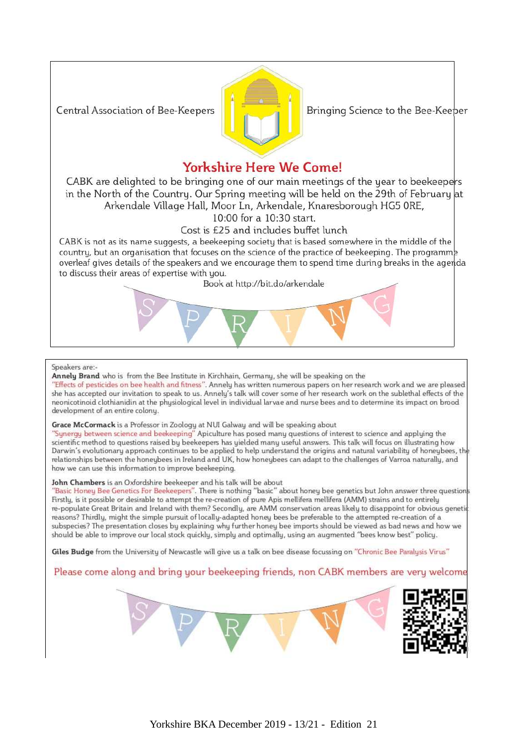Central Association of Bee-Keepers



Bringing Science to the Bee-Keeper

#### **Yorkshire Here We Come!**

CABK are delighted to be bringing one of our main meetings of the year to beekeepers in the North of the Country. Our Spring meeting will be held on the 29th of February at Arkendale Village Hall, Moor Ln, Arkendale, Knaresborough HG5 ORE,

10:00 for a 10:30 start.

#### Cost is £25 and includes buffet lunch

CABK is not as its name suggests, a beekeeping society that is based somewhere in the middle of the country, but an organisation that focuses on the science of the practice of beekeeping. The programme overleaf gives details of the speakers and we encourage them to spend time during breaks in the agenda to discuss their areas of expertise with you.

Book at http://bit.do/arkendale



#### Speakers are:-

Annelu Brand who is from the Bee Institute in Kirchhain, Germanu, she will be speaking on the "Effects of pesticides on bee health and fitness". Annely has written numerous papers on her research work and we are pleased she has accepted our invitation to speak to us. Annely's talk will cover some of her research work on the sublethal effects of the neonicotinoid clothianidin at the physiological level in individual larvae and nurse bees and to determine its impact on brood development of an entire colony.

#### Grace McCormack is a Professor in Zoologu at NUI Galwau and will be speaking about

"Synergy between science and beekeeping" Apiculture has posed many questions of interest to science and appluing the scientific method to questions raised bu beekeepers has uielded manu useful answers. This talk will focus on illustrating how Darwin's evolutionary approach continues to be applied to help understand the origins and natural variability of honeybees, the relationships between the honeybees in Ireland and UK, how honeybees can adapt to the challenges of Varroa naturally, and how we can use this information to improve beekeeping.

#### John Chambers is an Oxfordshire beekeeper and his talk will be about

"Basic Honey Bee Genetics For Beekeepers". There is nothing "basic" about honey bee genetics but John answer three questions Firstly, is it possible or desirable to attempt the re-creation of pure Apis mellifera mellifera (AMM) strains and to entirely re-populate Great Britain and Ireland with them? Secondly, are AMM conservation areas likely to disappoint for obvious genetic reasons? Thirdly, might the simple pursuit of locally-adapted honey bees be preferable to the attempted re-creation of a subspecies? The presentation closes by explaining why further honey bee imports should be viewed as bad news and how we should be able to improve our local stock quickly, simply and optimally, using an augmented "bees know best" policy.

Giles Budge from the University of Newcastle will give us a talk on bee disease focussing on "Chronic Bee Paralysis Virus"

Please come along and bring your beekeeping friends, non CABK members are very welcome

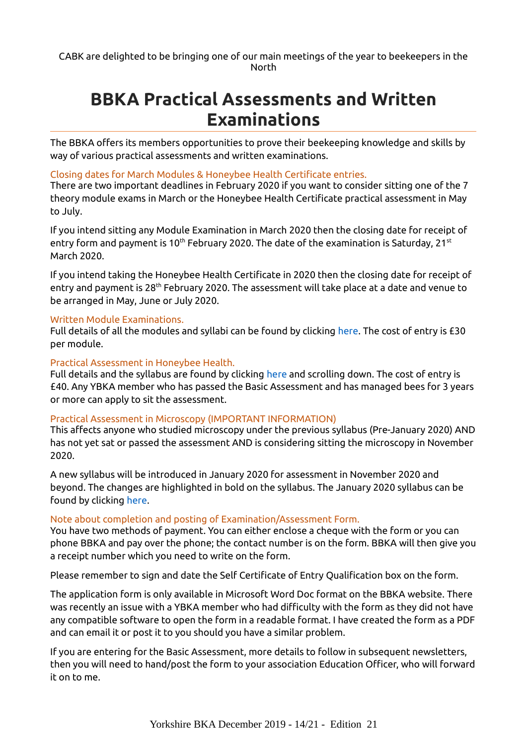## <span id="page-13-0"></span>**BBKA Practical Assessments and Written Examinations**

The BBKA offers its members opportunities to prove their beekeeping knowledge and skills by way of various practical assessments and written examinations.

#### Closing dates for March Modules & Honeybee Health Certificate entries.

There are two important deadlines in February 2020 if you want to consider sitting one of the 7 theory module exams in March or the Honeybee Health Certificate practical assessment in May to July.

If you intend sitting any Module Examination in March 2020 then the closing date for receipt of entry form and payment is 10<sup>th</sup> February 2020. The date of the examination is Saturday, 21<sup>st</sup> March 2020.

If you intend taking the Honeybee Health Certificate in 2020 then the closing date for receipt of entry and payment is 28<sup>th</sup> February 2020. The assessment will take place at a date and venue to be arranged in May, June or July 2020.

#### Written Module Examinations.

Full details of all the modules and syllabi can be found by clicking [here.](https://www.bbka.org.uk/modules) The cost of entry is £30 per module.

#### Practical Assessment in Honeybee Health.

Full details and the syllabus are found by clicking [here](https://www.bbka.org.uk/practical-assessments#BasicAssessment) and scrolling down. The cost of entry is £40. Any YBKA member who has passed the Basic Assessment and has managed bees for 3 years or more can apply to sit the assessment.

#### Practical Assessment in Microscopy (IMPORTANT INFORMATION)

This affects anyone who studied microscopy under the previous syllabus (Pre-January 2020) AND has not yet sat or passed the assessment AND is considering sitting the microscopy in November 2020.

A new syllabus will be introduced in January 2020 for assessment in November 2020 and beyond. The changes are highlighted in bold on the syllabus. The January 2020 syllabus can be found by clicking [here.](https://www.bbka.org.uk/Handlers/Download.ashx?IDMF=81c81442-b0c4-42c4-b434-8bf46500f567)

#### Note about completion and posting of Examination/Assessment Form.

You have two methods of payment. You can either enclose a cheque with the form or you can phone BBKA and pay over the phone; the contact number is on the form. BBKA will then give you a receipt number which you need to write on the form.

Please remember to sign and date the Self Certificate of Entry Qualification box on the form.

The application form is only available in Microsoft Word Doc format on the BBKA website. There was recently an issue with a YBKA member who had difficulty with the form as they did not have any compatible software to open the form in a readable format. I have created the form as a PDF and can email it or post it to you should you have a similar problem.

If you are entering for the Basic Assessment, more details to follow in subsequent newsletters, then you will need to hand/post the form to your association Education Officer, who will forward it on to me.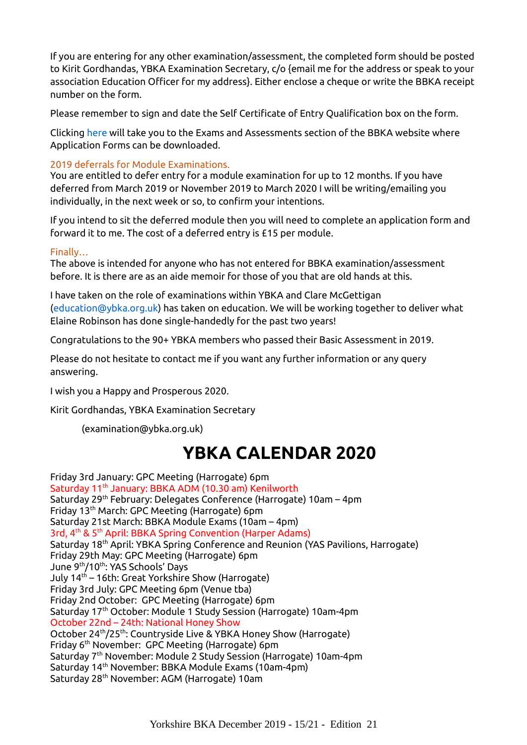If you are entering for any other examination/assessment, the completed form should be posted to Kirit Gordhandas, YBKA Examination Secretary, c/o {email me for the address or speak to your association Education Officer for my address}. Either enclose a cheque or write the BBKA receipt number on the form.

Please remember to sign and date the Self Certificate of Entry Qualification box on the form.

Clicking [here](https://www.bbka.org.uk/exams-and-assessments-of-the-bbka) will take you to the Exams and Assessments section of the BBKA website where Application Forms can be downloaded.

#### 2019 deferrals for Module Examinations.

You are entitled to defer entry for a module examination for up to 12 months. If you have deferred from March 2019 or November 2019 to March 2020 I will be writing/emailing you individually, in the next week or so, to confirm your intentions.

If you intend to sit the deferred module then you will need to complete an application form and forward it to me. The cost of a deferred entry is £15 per module.

#### Finally…

The above is intended for anyone who has not entered for BBKA examination/assessment before. It is there are as an aide memoir for those of you that are old hands at this.

I have taken on the role of examinations within YBKA and Clare McGettigan [\(education@ybka.org.uk\)](mailto:education@ybka.org.uk) has taken on education. We will be working together to deliver what Elaine Robinson has done single-handedly for the past two years!

Congratulations to the 90+ YBKA members who passed their Basic Assessment in 2019.

Please do not hesitate to contact me if you want any further information or any query answering.

I wish you a Happy and Prosperous 2020.

Kirit Gordhandas, YBKA Examination Secretary

[\(examination@ybka.org.uk\)](mailto:examination@ybka.org.uk)

## <span id="page-14-0"></span>**YBKA CALENDAR 2020**

Friday 3rd January: GPC Meeting (Harrogate) 6pm Saturday 11<sup>th</sup> January: BBKA ADM (10.30 am) Kenilworth Saturday 29<sup>th</sup> February: Delegates Conference (Harrogate) 10am - 4pm Friday 13th March: GPC Meeting (Harrogate) 6pm Saturday 21st March: BBKA Module Exams (10am – 4pm) 3rd, 4<sup>th</sup> & 5<sup>th</sup> April: BBKA Spring Convention (Harper Adams) Saturday 18<sup>th</sup> April: YBKA Spring Conference and Reunion (YAS Pavilions, Harrogate) Friday 29th May: GPC Meeting (Harrogate) 6pm June 9th/10th: YAS Schools' Days July 14<sup>th</sup> – 16th: Great Yorkshire Show (Harrogate) Friday 3rd July: GPC Meeting 6pm (Venue tba) Friday 2nd October: GPC Meeting (Harrogate) 6pm Saturday 17<sup>th</sup> October: Module 1 Study Session (Harrogate) 10am-4pm October 22nd – 24th: National Honey Show October 24<sup>th</sup>/25<sup>th</sup>: Countryside Live & YBKA Honey Show (Harrogate) Friday 6th November: GPC Meeting (Harrogate) 6pm Saturday 7<sup>th</sup> November: Module 2 Study Session (Harrogate) 10am-4pm Saturday 14<sup>th</sup> November: BBKA Module Exams (10am-4pm) Saturday 28<sup>th</sup> November: AGM (Harrogate) 10am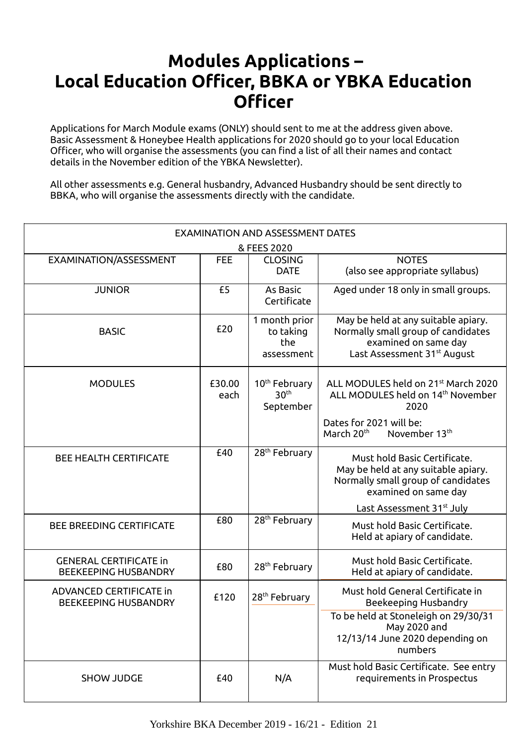## <span id="page-15-0"></span> **Modules Applications – Local Education Officer, BBKA or YBKA Education Officer**

Applications for March Module exams (ONLY) should sent to me at the address given above. Basic Assessment & Honeybee Health applications for 2020 should go to your local Education Officer, who will organise the assessments (you can find a list of all their names and contact details in the November edition of the YBKA Newsletter).

All other assessments e.g. General husbandry, Advanced Husbandry should be sent directly to BBKA, who will organise the assessments directly with the candidate.

|                                                               | <b>EXAMINATION AND ASSESSMENT DATES</b> |                                                            |                                                                                                                                                                                |  |  |  |  |
|---------------------------------------------------------------|-----------------------------------------|------------------------------------------------------------|--------------------------------------------------------------------------------------------------------------------------------------------------------------------------------|--|--|--|--|
|                                                               |                                         | & FEES 2020                                                |                                                                                                                                                                                |  |  |  |  |
| EXAMINATION/ASSESSMENT                                        | <b>FEE</b>                              | <b>CLOSING</b><br><b>DATE</b>                              | <b>NOTES</b><br>(also see appropriate syllabus)                                                                                                                                |  |  |  |  |
| <b>JUNIOR</b>                                                 | £5                                      | As Basic<br>Certificate                                    | Aged under 18 only in small groups.                                                                                                                                            |  |  |  |  |
| <b>BASIC</b>                                                  | £20                                     | 1 month prior<br>to taking<br>the<br>assessment            | May be held at any suitable apiary.<br>Normally small group of candidates<br>examined on same day<br>Last Assessment 31 <sup>st</sup> August                                   |  |  |  |  |
| <b>MODULES</b>                                                | £30.00<br>each                          | 10 <sup>th</sup> February<br>30 <sup>th</sup><br>September | ALL MODULES held on 21 <sup>st</sup> March 2020<br>ALL MODULES held on 14 <sup>th</sup> November<br>2020<br>Dates for 2021 will be:<br>March 20 <sup>th</sup><br>November 13th |  |  |  |  |
| <b>BEE HEALTH CERTIFICATE</b>                                 | £40                                     | 28 <sup>th</sup> February                                  | Must hold Basic Certificate.<br>May be held at any suitable apiary.<br>Normally small group of candidates<br>examined on same day                                              |  |  |  |  |
|                                                               |                                         |                                                            | Last Assessment 31 <sup>st</sup> July                                                                                                                                          |  |  |  |  |
| <b>BEE BREEDING CERTIFICATE</b>                               | £80                                     | 28 <sup>th</sup> February                                  | Must hold Basic Certificate.<br>Held at apiary of candidate.                                                                                                                   |  |  |  |  |
| <b>GENERAL CERTIFICATE in</b><br><b>BEEKEEPING HUSBANDRY</b>  | £80                                     | 28 <sup>th</sup> February                                  | Must hold Basic Certificate.<br>Held at apiary of candidate.                                                                                                                   |  |  |  |  |
| <b>ADVANCED CERTIFICATE in</b><br><b>BEEKEEPING HUSBANDRY</b> | £120                                    | 28 <sup>th</sup> February                                  | Must hold General Certificate in<br><b>Beekeeping Husbandry</b>                                                                                                                |  |  |  |  |
|                                                               |                                         |                                                            | To be held at Stoneleigh on 29/30/31<br>May 2020 and<br>12/13/14 June 2020 depending on<br>numbers                                                                             |  |  |  |  |
| <b>SHOW JUDGE</b>                                             | £40                                     | N/A                                                        | Must hold Basic Certificate. See entry<br>requirements in Prospectus                                                                                                           |  |  |  |  |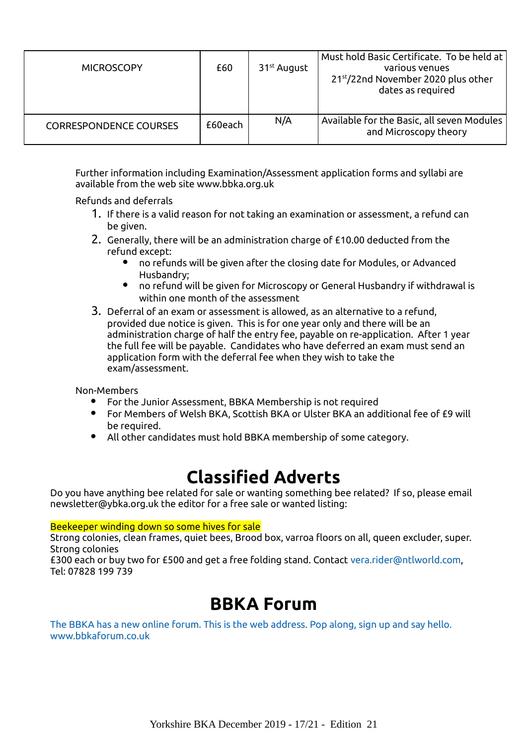| <b>MICROSCOPY</b>             | £60     | 31 <sup>st</sup> August | Must hold Basic Certificate. To be held at<br>various venues<br>21st/22nd November 2020 plus other<br>dates as required |
|-------------------------------|---------|-------------------------|-------------------------------------------------------------------------------------------------------------------------|
| <b>CORRESPONDENCE COURSES</b> | £60each | N/A                     | Available for the Basic, all seven Modules<br>and Microscopy theory                                                     |

Further information including Examination/Assessment application forms and syllabi are available from the web site www.bbka.org.uk

Refunds and deferrals

- 1. If there is a valid reason for not taking an examination or assessment, a refund can be given.
- 2. Generally, there will be an administration charge of £10.00 deducted from the refund except:
	- no refunds will be given after the closing date for Modules, or Advanced Husbandry;
	- no refund will be given for Microscopy or General Husbandry if withdrawal is within one month of the assessment
- 3. Deferral of an exam or assessment is allowed, as an alternative to a refund, provided due notice is given. This is for one year only and there will be an administration charge of half the entry fee, payable on re-application. After 1 year the full fee will be payable. Candidates who have deferred an exam must send an application form with the deferral fee when they wish to take the exam/assessment.

Non-Members

- For the Junior Assessment, BBKA Membership is not required
- For Members of Welsh BKA, Scottish BKA or Ulster BKA an additional fee of £9 will be required.
- All other candidates must hold BBKA membership of some category.

## <span id="page-16-0"></span>**Classified Adverts**

Do you have anything bee related for sale or wanting something bee related? If so, please email newsletter@ybka.org.uk the editor for a free sale or wanted listing:

Beekeeper winding down so some hives for sale

Strong colonies, clean frames, quiet bees, Brood box, varroa floors on all, queen excluder, super. Strong colonies

£300 each or buy two for £500 and get a free folding stand. Contact [vera.rider@ntlworld.com,](mailto:vera.rider@ntlworld.com) Tel: 07828 199 739

## **BBKA Forum**

[The BBKA has a new online forum. This is the web address. Pop along, sign up and say hello.](http://www.bbkaforum.co.uk/)  [www.bbkaforum.co.uk](http://www.bbkaforum.co.uk/)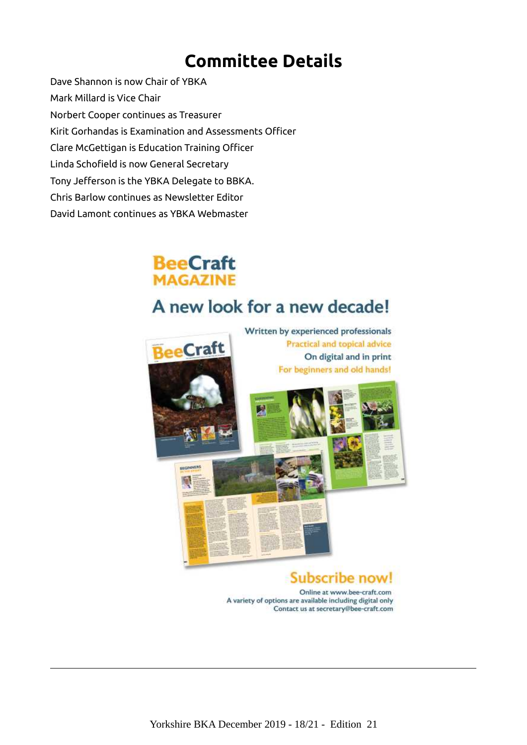## <span id="page-17-0"></span>**Committee Details**

Dave Shannon is now Chair of YBKA Mark Millard is Vice Chair Norbert Cooper continues as Treasurer Kirit Gorhandas is Examination and Assessments Officer Clare McGettigan is Education Training Officer Linda Schofield is now General Secretary Tony Jefferson is the YBKA Delegate to BBKA. Chris Barlow continues as Newsletter Editor David Lamont continues as YBKA Webmaster



## A new look for a new decade!



Online at www.bee-craft.com A variety of options are available including digital only Contact us at secretary@bee-craft.com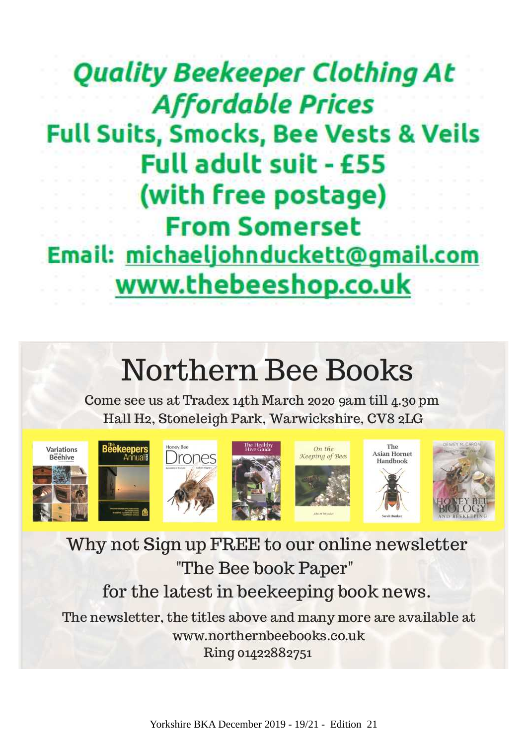# **Quality Beekeeper Clothing At Affordable Prices Full Suits, Smocks, Bee Vests & Veils** Full adult suit - £55 (with free postage) **From Somerset** Email: michaeljohnduckett@gmail.com www.thebeeshop.co.uk

# Northern Bee Books

Come see us at Tradex 14th March 2020 9am till 4.30 pm Hall H2, Stoneleigh Park, Warwickshire, CV8 2LG













Why not Sign up FREE to our online newsletter "The Bee book Paper"

## for the latest in beekeeping book news.

The newsletter, the titles above and many more are available at www.northernbeebooks.co.uk Ring 01422882751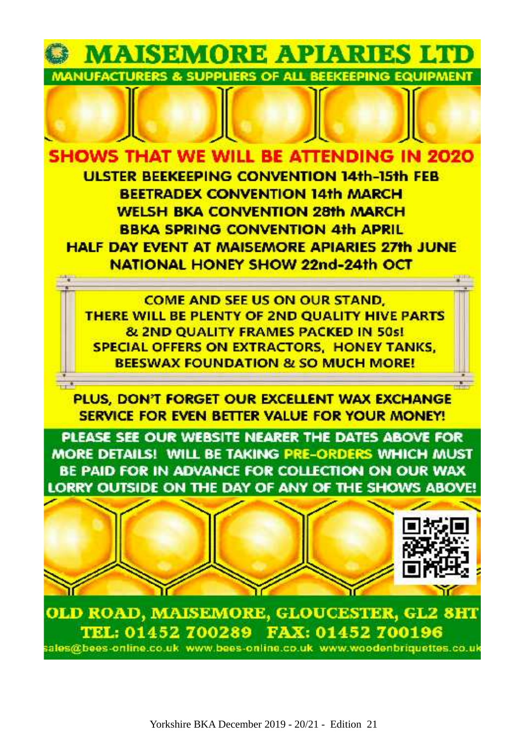

**SHOWS THAT WE WILL BE ATTENDING IN 2020 ULSTER BEEKEEPING CONVENTION 14th-15th FEB BEETRADEX CONVENTION 14th MARCH WELSH BKA CONVENTION 28th MARCH BBKA SPRING CONVENTION 4th APRIL HALF DAY EVENT AT MAISEMORE APIARIES 27th JUNE** NATIONAL HONEY SHOW 22nd-24th OCT

**COME AND SEE US ON OUR STAND.** THERE WILL BE PLENTY OF 2ND OUALITY HIVE PARTS **& 2ND QUALITY FRAMES PACKED IN 50s! SPECIAL OFFERS ON EXTRACTORS. HONEY TANKS. BEESWAX FOUNDATION & SO MUCH MORE!** 

PLUS, DON'T FORGET OUR EXCELLENT WAX EXCHANGE SERVICE FOR EVEN BETTER VALUE FOR YOUR MONEY!

PLEASE SEE OUR WEBSITE NEARER THE DATES ABOVE FOR MORE DETAILS! WILL BE TAKING PRE-ORDERS WHICH MUST BE PAID FOR IN ADVANCE FOR COLLECTION ON OUR WAX LORRY OUTSIDE ON THE DAY OF ANY OF THE SHOWS ABOVE!



OLD ROAD, MAISEMORE, GLOUCESTER, GL2 8HT TEL: 01452 700289 FAX: 01452 700196 sales@bees-online.co.uk www.bees-online.co.uk www.woodenbriquettes.co.uk